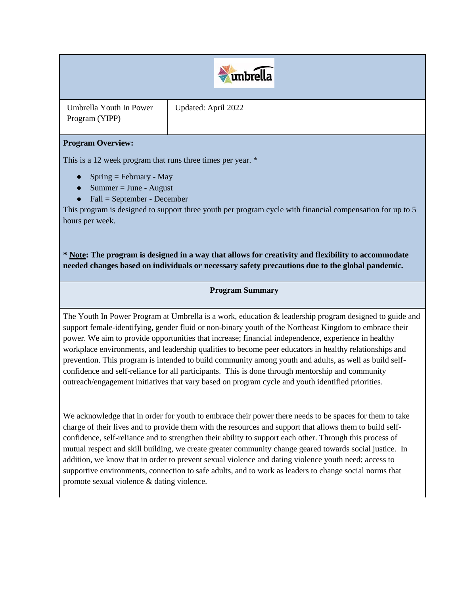# $\leftrightarrow$  unbrella

Umbrella Youth In Power Program (YIPP)

Updated: April 2022

## **Program Overview:**

This is a 12 week program that runs three times per year. \*

- Spring = February May
- $\bullet$  Summer = June August
- $\bullet$  Fall = September December

This program is designed to support three youth per program cycle with financial compensation for up to 5 hours per week.

**\* Note: The program is designed in a way that allows for creativity and flexibility to accommodate needed changes based on individuals or necessary safety precautions due to the global pandemic.**

### **Program Summary**

The Youth In Power Program at Umbrella is a work, education & leadership program designed to guide and support female-identifying, gender fluid or non-binary youth of the Northeast Kingdom to embrace their power. We aim to provide opportunities that increase; financial independence, experience in healthy workplace environments, and leadership qualities to become peer educators in healthy relationships and prevention. This program is intended to build community among youth and adults, as well as build selfconfidence and self-reliance for all participants. This is done through mentorship and community outreach/engagement initiatives that vary based on program cycle and youth identified priorities.

We acknowledge that in order for youth to embrace their power there needs to be spaces for them to take charge of their lives and to provide them with the resources and support that allows them to build selfconfidence, self-reliance and to strengthen their ability to support each other. Through this process of mutual respect and skill building, we create greater community change geared towards social justice. In addition, we know that in order to prevent sexual violence and dating violence youth need; access to supportive environments, connection to safe adults, and to work as leaders to change social norms that promote sexual violence & dating violence.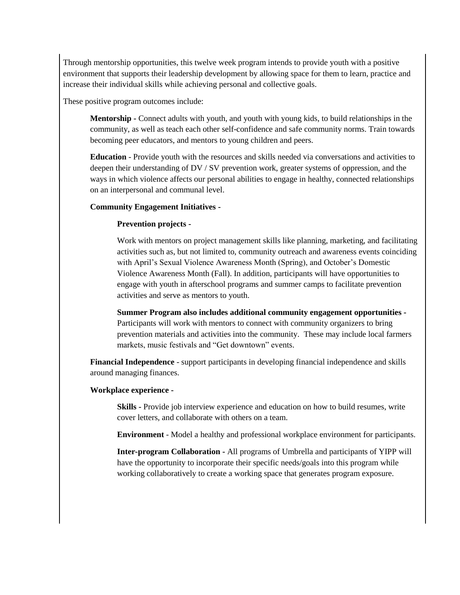Through mentorship opportunities, this twelve week program intends to provide youth with a positive environment that supports their leadership development by allowing space for them to learn, practice and increase their individual skills while achieving personal and collective goals.

These positive program outcomes include:

**Mentorship -** Connect adults with youth, and youth with young kids, to build relationships in the community, as well as teach each other self-confidence and safe community norms. Train towards becoming peer educators, and mentors to young children and peers.

**Education** - Provide youth with the resources and skills needed via conversations and activities to deepen their understanding of DV / SV prevention work, greater systems of oppression, and the ways in which violence affects our personal abilities to engage in healthy, connected relationships on an interpersonal and communal level.

#### **Community Engagement Initiatives -**

#### **Prevention projects -**

Work with mentors on project management skills like planning, marketing, and facilitating activities such as, but not limited to, community outreach and awareness events coinciding with April's Sexual Violence Awareness Month (Spring), and October's Domestic Violence Awareness Month (Fall). In addition, participants will have opportunities to engage with youth in afterschool programs and summer camps to facilitate prevention activities and serve as mentors to youth.

**Summer Program also includes additional community engagement opportunities -** Participants will work with mentors to connect with community organizers to bring prevention materials and activities into the community.These may include local farmers markets, music festivals and "Get downtown" events.

**Financial Independence** - support participants in developing financial independence and skills around managing finances.

#### **Workplace experience -**

**Skills -** Provide job interview experience and education on how to build resumes, write cover letters, and collaborate with others on a team.

**Environment** - Model a healthy and professional workplace environment for participants.

**Inter-program Collaboration -** All programs of Umbrella and participants of YIPP will have the opportunity to incorporate their specific needs/goals into this program while working collaboratively to create a working space that generates program exposure.